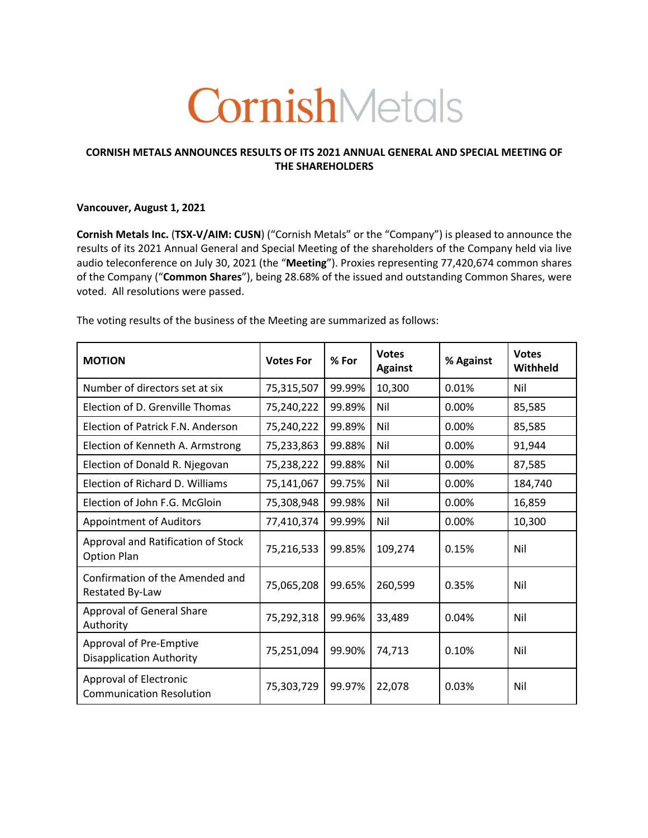# CornishMetals

# **CORNISH METALS ANNOUNCES RESULTS OF ITS 2021 ANNUAL GENERAL AND SPECIAL MEETING OF THE SHAREHOLDERS**

## **Vancouver, August 1, 2021**

**Cornish Metals Inc.** (**TSX-V/AIM: CUSN**) ("Cornish Metals" or the "Company") is pleased to announce the results of its 2021 Annual General and Special Meeting of the shareholders of the Company held via live audio teleconference on July 30, 2021 (the "**Meeting**"). Proxies representing 77,420,674 common shares of the Company ("**Common Shares**"), being 28.68% of the issued and outstanding Common Shares, were voted. All resolutions were passed.

The voting results of the business of the Meeting are summarized as follows:

| <b>MOTION</b>                                              | <b>Votes For</b> | % For  | <b>Votes</b><br><b>Against</b> | % Against | <b>Votes</b><br>Withheld |
|------------------------------------------------------------|------------------|--------|--------------------------------|-----------|--------------------------|
| Number of directors set at six                             | 75,315,507       | 99.99% | 10,300                         | 0.01%     | Nil                      |
| Election of D. Grenville Thomas                            | 75,240,222       | 99.89% | Nil                            | 0.00%     | 85,585                   |
| Election of Patrick F.N. Anderson                          | 75,240,222       | 99.89% | Nil                            | 0.00%     | 85,585                   |
| Election of Kenneth A. Armstrong                           | 75,233,863       | 99.88% | Nil                            | 0.00%     | 91,944                   |
| Election of Donald R. Njegovan                             | 75,238,222       | 99.88% | Nil                            | 0.00%     | 87,585                   |
| Election of Richard D. Williams                            | 75,141,067       | 99.75% | Nil                            | 0.00%     | 184,740                  |
| Election of John F.G. McGloin                              | 75,308,948       | 99.98% | Nil                            | 0.00%     | 16,859                   |
| <b>Appointment of Auditors</b>                             | 77,410,374       | 99.99% | Nil                            | 0.00%     | 10,300                   |
| Approval and Ratification of Stock<br><b>Option Plan</b>   | 75,216,533       | 99.85% | 109,274                        | 0.15%     | Nil                      |
| Confirmation of the Amended and<br>Restated By-Law         | 75,065,208       | 99.65% | 260,599                        | 0.35%     | Nil                      |
| Approval of General Share<br>Authority                     | 75,292,318       | 99.96% | 33,489                         | 0.04%     | Nil                      |
| Approval of Pre-Emptive<br><b>Disapplication Authority</b> | 75,251,094       | 99.90% | 74,713                         | 0.10%     | Nil                      |
| Approval of Electronic<br><b>Communication Resolution</b>  | 75,303,729       | 99.97% | 22,078                         | 0.03%     | Nil                      |